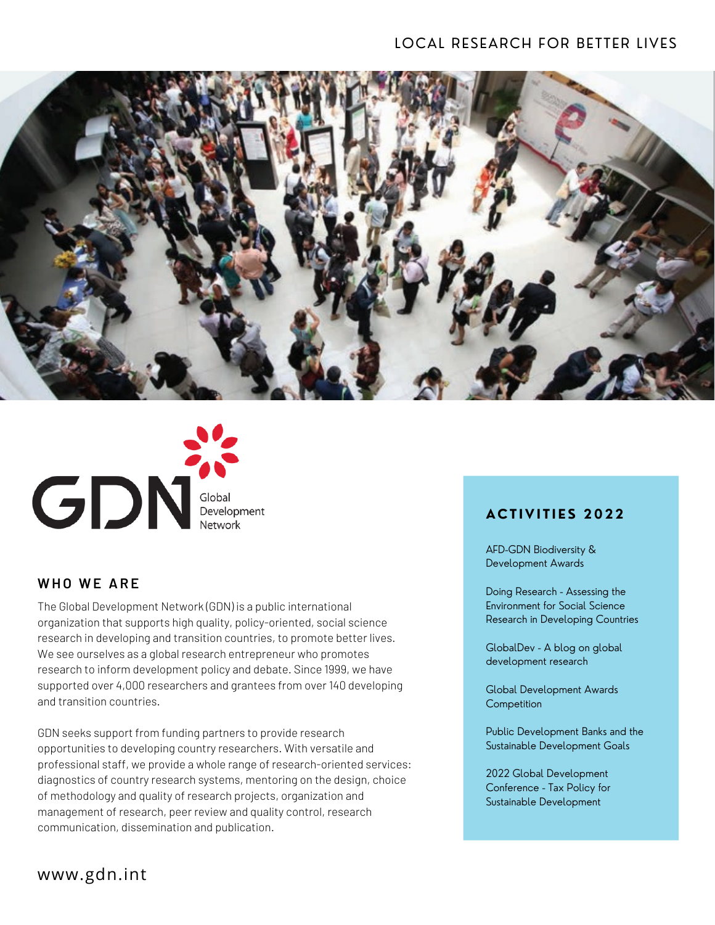



#### **W HO W E AR E**

The Global Development Network (GDN) is a public international organization that supports high quality, policy-oriented, social science research in developing and transition countries, to promote better lives. We see ourselves as a global research entrepreneur who promotes research to inform development policy and debate. Since 1999, we have supported over 4,000 researchers and grantees from over 140 developing and transition countries.

GDN seeks support from funding partners to provide research opportunities to developing country researchers. With versatile and professional staff, we provide a whole range of research-oriented services: diagnostics of country research systems, mentoring on the design, choice of methodology and quality of research projects, organization and management of research, peer review and quality control, research communication, dissemination and publication.

# **ACT I V I T I E S 2022**

[AFD-GDN Biodiversity &](http://www.gdn.int/biodiversity) Development Awards

Doing Research - Assessing the Environment for Social Science [Research in Developing Countries](http://www.gdn.int/doingresearch/about)

[GlobalDev](http://www.gdn.int/globaldev) - A blog on global development research

[Global Development Awards](http://www.gdn.int/gdac) **Competition** 

[Public Development Banks and the](http://www.gdn.int/publicdevelopmentbanks) Sustainable Development Goals

2022 Global Development [Conference - Tax Policy for](https://www.gdn.int/conferences) Sustainable Development